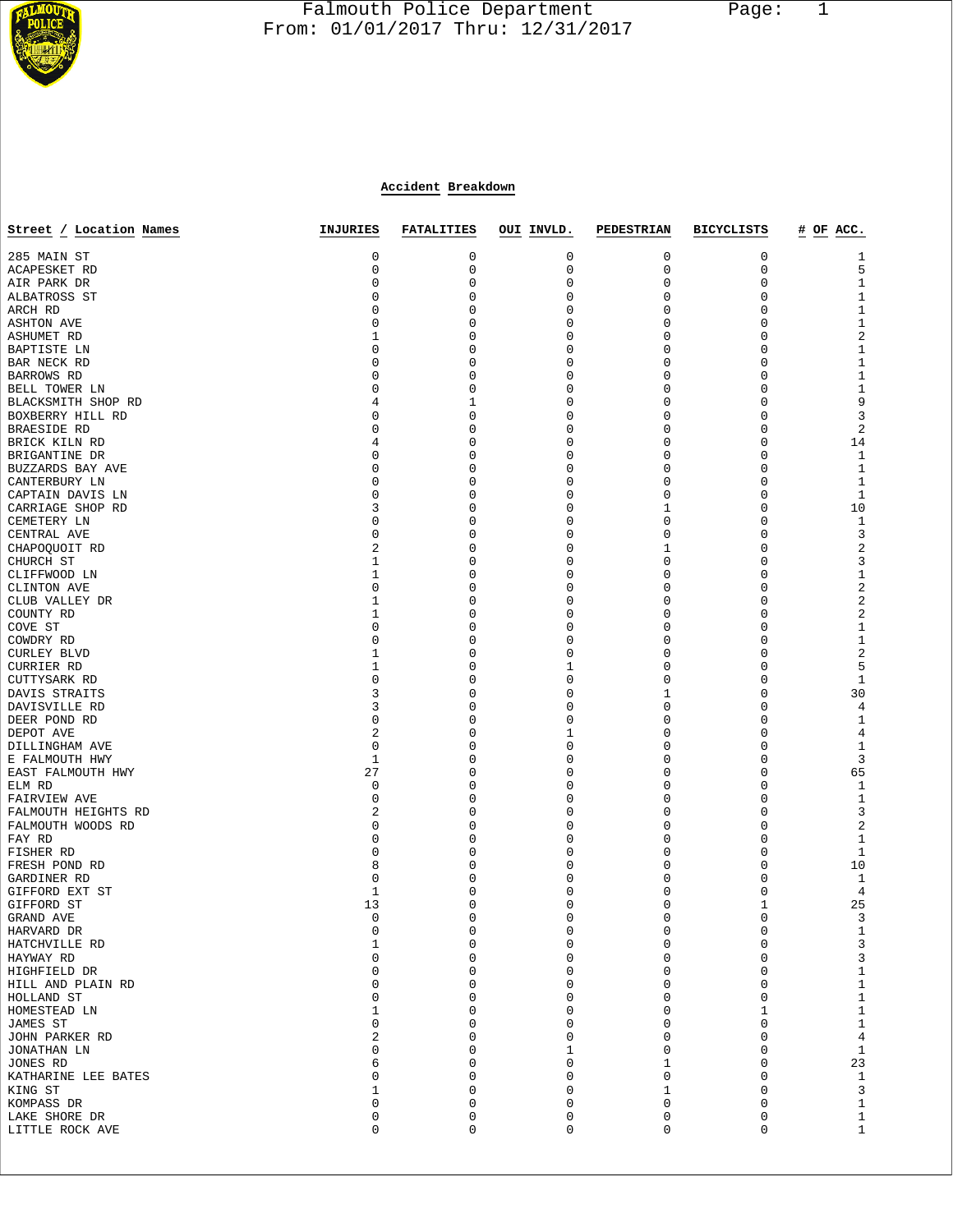

## Falmouth Police Department Page: 1  $\frac{1}{3}$  From: 01/01/2017 Thru: 12/31/2017

## **Accident Breakdown**

| Street / Location Names                  | INJURIES    | <b>FATALITIES</b> | OUI INVLD.       | <b>PEDESTRIAN</b> | <b>BICYCLISTS</b> | # OF ACC.               |
|------------------------------------------|-------------|-------------------|------------------|-------------------|-------------------|-------------------------|
| 285 MAIN ST                              | 0           | 0                 | 0                | 0                 | 0                 | 1                       |
| ACAPESKET RD                             | 0           | 0                 | $\mathsf 0$      | 0                 | $\mathbf 0$       | 5                       |
| AIR PARK DR                              | 0           | 0                 | 0                | 0                 | 0                 | $\mathbf{1}$            |
| ALBATROSS ST                             | 0           | 0                 | 0                | 0                 | 0                 | $\mathbf 1$             |
| ARCH RD                                  | 0           | 0                 | 0                | 0                 | 0                 | $\mathbf 1$             |
| <b>ASHTON AVE</b>                        | 0           | 0                 | $\Omega$         | 0                 | 0                 | $1\,$                   |
| ASHUMET RD                               | 1           | 0                 | 0                | 0                 | 0                 | $\sqrt{2}$              |
| BAPTISTE LN                              | 0           | 0                 | 0                | 0                 | 0                 | $\mathbf 1$             |
| BAR NECK RD                              | 0           | 0                 | $\Omega$         | 0                 | 0                 | $1\,$                   |
| BARROWS RD                               | 0           | 0                 | $\mathbf 0$      | 0                 | 0                 | $\mathbf 1$             |
| BELL TOWER LN                            | 0           | 0                 | $\mathbf 0$      | 0                 | 0                 | $\mathbf 1$             |
| BLACKSMITH SHOP RD                       | 4           | 1                 | 0                | 0                 | 0                 | 9                       |
| BOXBERRY HILL RD                         | 0           | 0                 | 0                | 0                 | 0                 | $\mathbf{3}$            |
| BRAESIDE RD                              | 0           | 0                 | 0                | 0                 | 0                 | $\overline{c}$          |
| BRICK KILN RD                            | 4           | 0                 | $\mathbf 0$      | 0                 | 0                 | 14                      |
| BRIGANTINE DR                            | 0           | 0                 | 0                | 0                 | 0                 | $\mathbf{1}$            |
| BUZZARDS BAY AVE                         | 0           | 0                 | 0                | 0                 | 0                 | $1\,$                   |
| CANTERBURY LN                            | 0           | 0                 | $\mathbf 0$      | 0                 | 0                 | $\mathbf{1}$            |
| CAPTAIN DAVIS LN                         | 0           | 0                 | 0                | 0                 | 0                 | $\mathbf{1}$            |
| CARRIAGE SHOP RD                         | 3           | 0                 | $\mathbf 0$      | 1                 | 0                 | 10                      |
| CEMETERY LN                              | 0           | 0                 | $\Omega$         | 0                 | 0                 | $\mathbf{1}$            |
| CENTRAL AVE                              | 0           | 0                 | 0                | 0                 | 0                 | 3                       |
| CHAPOQUOIT RD                            | 2           | 0                 | $\mathbf 0$      | 1                 | 0                 | $\overline{\mathbf{c}}$ |
| CHURCH ST                                | 1           | 0                 | $\mathbf 0$      | 0                 | 0                 | $\mathsf 3$             |
| CLIFFWOOD LN                             | 1           | 0                 | $\mathbf 0$      | 0                 | 0                 | $\mathbf 1$             |
| CLINTON AVE                              | 0           | 0                 | $\mathbf 0$      | 0                 | 0                 | $\sqrt{2}$              |
| CLUB VALLEY DR                           | 1           | 0                 | $\mathbf 0$      | 0                 | 0                 | $\sqrt{2}$              |
| COUNTY RD                                | 1           | 0                 | 0                | 0                 | 0                 | $\sqrt{2}$              |
| COVE ST                                  | 0           | 0                 | 0                | 0                 | 0                 | $\mathbf 1$             |
| COWDRY RD                                | 0           | 0                 | $\mathbf 0$      | 0                 | 0                 | $1\,$                   |
| <b>CURLEY BLVD</b>                       | 1           | 0                 | 0                | 0                 | 0                 | $\sqrt{2}$              |
| <b>CURRIER RD</b>                        | 1           | 0                 | 1                | 0                 | 0                 | 5                       |
| CUTTYSARK RD                             | 0           | 0                 | $\mathbf 0$      | 0                 | 0                 | $\mathbf{1}$            |
| DAVIS STRAITS                            | 3           | 0                 | $\mathbf 0$      | 1                 | 0                 | 30                      |
| DAVISVILLE RD                            | 3           | 0                 | $\mathbf 0$      | 0                 | 0                 | $\overline{4}$          |
| DEER POND RD                             | 0           | 0                 | $\mathbf 0$      | 0                 | 0                 | $\mathbf{1}$            |
| DEPOT AVE                                | 2           | 0                 | 1                | 0                 | 0                 | 4                       |
| DILLINGHAM AVE                           | $\mathbf 0$ | 0                 | 0                | 0                 | 0                 | $1\,$                   |
| E FALMOUTH HWY                           | 1           | 0                 | $\mathbf 0$      | 0                 | 0                 | 3                       |
| EAST FALMOUTH HWY                        | 27          | 0<br>0            | 0<br>$\mathbf 0$ | 0<br>0            | 0<br>0            | 65                      |
| ELM RD                                   | 0           | 0                 | $\mathbf 0$      | 0                 | 0                 | $1\,$                   |
| FAIRVIEW AVE                             | 0<br>2      | 0                 | 0                | 0                 | 0                 | $1\,$<br>$\mathsf 3$    |
| FALMOUTH HEIGHTS RD<br>FALMOUTH WOODS RD | 0           | 0                 | 0                | 0                 | 0                 | $\overline{\mathbf{c}}$ |
| FAY RD                                   | 0           | 0                 | $\Omega$         | 0                 | 0                 | $\mathbf{1}$            |
| FISHER RD                                | 0           | 0                 | 0                | 0                 | 0                 | $\mathbf{1}$            |
| FRESH POND RD                            | 8           | 0                 | 0                | 0                 | 0                 | 10                      |
| GARDINER RD                              | 0           | 0                 | 0                | 0                 | 0                 | 1                       |
| GIFFORD EXT ST                           | 1           | 0                 | 0                | 0                 | 0                 | 4                       |
| GIFFORD ST                               | 13          | 0                 | $\mathbf 0$      | 0                 | 1                 | 25                      |
| GRAND AVE                                | 0           | $\Omega$          | $\Omega$         | $\Omega$          | $\Omega$          | 3                       |
| HARVARD DR                               | 0           | 0                 | 0                | 0                 | 0                 | 1                       |
| HATCHVILLE RD                            | $\mathbf 1$ | 0                 | $\mathbf{0}$     | 0                 | $\mathbf 0$       | $\mathsf 3$             |
| HAYWAY RD                                | 0           | 0                 | $\mathbf 0$      | 0                 | 0                 | 3                       |
| HIGHFIELD DR                             | 0           | 0                 | $\mathbf 0$      | 0                 | 0                 | $\mathbf 1$             |
| HILL AND PLAIN RD                        | 0           | 0                 | $\mathbf 0$      | 0                 | $\mathbf 0$       | $\mathbf 1$             |
| HOLLAND ST                               | 0           | 0                 | 0                | 0                 | 0                 | $\mathbf 1$             |
| HOMESTEAD LN                             | 1           | 0                 | $\mathbf 0$      | 0                 | 1                 | $\mathbf 1$             |
| JAMES ST                                 | 0           | 0                 | $\mathbf 0$      | 0                 | $\mathbf 0$       | $\mathbf 1$             |
| JOHN PARKER RD                           | 2           | 0                 | $\mathbf 0$      | 0                 | 0                 | $\,4$                   |
| JONATHAN LN                              | 0           | 0                 | 1                | 0                 | $\Omega$          | $\,1\,$                 |
| JONES RD                                 | 6           | 0                 | $\mathbf{0}$     | 1                 | 0                 | 23                      |
| KATHARINE LEE BATES                      | 0           | 0                 | $\mathbf 0$      | 0                 | 0                 | $\mathbf{1}$            |
| KING ST                                  | 1           | 0                 | 0                | 1                 | 0                 | $\mathsf 3$             |
| KOMPASS DR                               | 0           | 0                 | $\mathbf 0$      | 0                 | 0                 | $\mathbf 1$             |
| LAKE SHORE DR                            | 0           | 0                 | $\mathbf 0$      | 0                 | 0                 | $\mathbf{1}$            |
| LITTLE ROCK AVE                          | 0           | $\mathbf 0$       | $\mathsf 0$      | 0                 | 0                 | $\mathbf{1}$            |
|                                          |             |                   |                  |                   |                   |                         |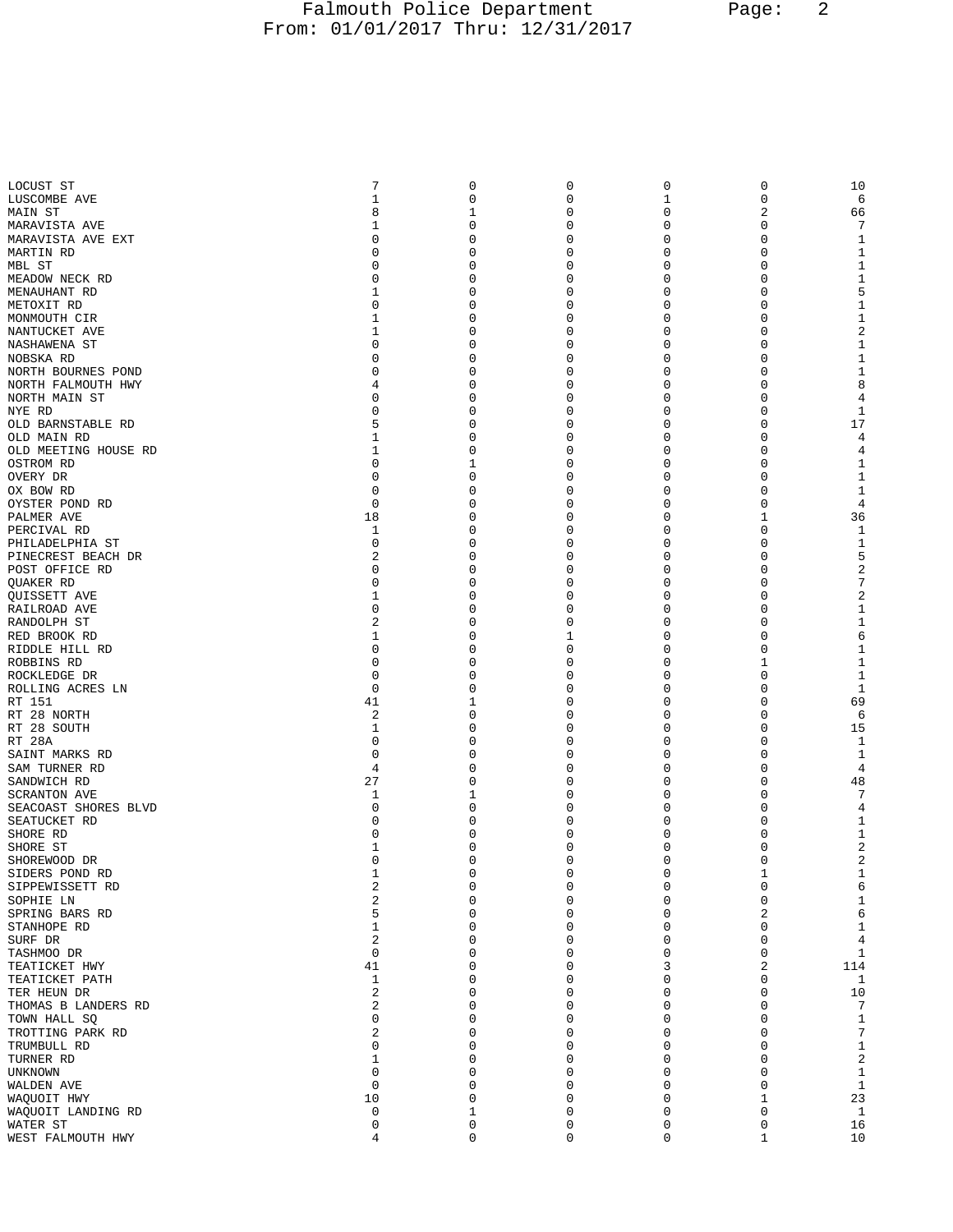## Falmouth Police Department Page: 2 From: 01/01/2017 Thru: 12/31/2017

| LOCUST ST                                   | 7            | 0        | $\mathbf 0$      | $\mathbf 0$      | $\mathsf{O}\xspace$ | 10                  |
|---------------------------------------------|--------------|----------|------------------|------------------|---------------------|---------------------|
| LUSCOMBE AVE                                | $\mathbf{1}$ | 0        | 0                | 1                | $\mathsf 0$         | 6                   |
| MAIN ST                                     | 8            | 1        | 0                | 0                | 2                   | 66                  |
| MARAVISTA AVE                               | 1            | 0        | 0                | 0                | 0                   |                     |
| MARAVISTA AVE EXT                           | 0            | 0<br>0   | 0                | 0<br>0           | 0                   | 1                   |
| MARTIN RD<br>MBL ST                         | 0<br>0       | 0        | 0<br>0           | 0                | 0<br>$\mathbf 0$    | 1<br>1              |
| MEADOW NECK RD                              | 0            | 0        | 0                | 0                | 0                   | 1                   |
| MENAUHANT RD                                | 1            | 0        | 0                | 0                | 0                   | 5                   |
| METOXIT RD                                  | 0            | 0        | 0                | 0                | 0                   | $\mathbf{1}$        |
| MONMOUTH CIR                                | 1            | 0        | 0                | 0                | 0                   | 1                   |
| NANTUCKET AVE                               | 1            | 0        | 0                | 0                | 0                   | $\overline{a}$      |
| NASHAWENA ST                                | 0            | 0        | $\mathbf 0$      | 0                | $\mathbf 0$         | 1                   |
| NOBSKA RD                                   | 0<br>0       | 0        | 0<br>0           | 0<br>0           | 0<br>0              | $\mathbf{1}$<br>1   |
| NORTH BOURNES POND<br>NORTH FALMOUTH HWY    | 4            | 0<br>0   | $\mathbf 0$      | 0                | 0                   | 8                   |
| NORTH MAIN ST                               | 0            | 0        | 0                | 0                | 0                   | 4                   |
| NYE RD                                      | 0            | 0        | 0                | 0                | 0                   | 1                   |
| OLD BARNSTABLE RD                           | 5            | 0        | 0                | 0                | $\mathbf 0$         | 17                  |
| OLD MAIN RD                                 | 1            | 0        | 0                | 0                | 0                   | 4                   |
| OLD MEETING HOUSE RD                        | 1            | 0        | 0                | 0                | 0                   | 4                   |
| OSTROM RD<br>OVERY DR                       | 0<br>0       | 1<br>0   | 0<br>0           | 0<br>0           | 0<br>0              | 1<br>1              |
| OX BOW RD                                   | 0            | 0        | 0                | 0                | 0                   | 1                   |
| OYSTER POND RD                              | 0            | 0        | 0                | 0                | $\mathbf 0$         | 4                   |
| PALMER AVE                                  | 18           | 0        | 0                | 0                | 1                   | 36                  |
| PERCIVAL RD                                 | 1            | 0        | 0                | 0                | 0                   | 1                   |
| PHILADELPHIA ST                             | 0            | 0        | 0                | 0                | 0                   | 1                   |
| PINECREST BEACH DR                          | 2            | 0        | 0                | 0                | 0                   | 5                   |
| POST OFFICE RD                              | 0            | 0        | 0                | 0                | 0                   | 2                   |
| QUAKER RD<br>QUISSETT AVE                   | 0<br>1       | 0<br>0   | 0<br>0           | 0<br>0           | 0<br>0              | 7<br>$\overline{2}$ |
| RAILROAD AVE                                | 0            | 0        | 0                | 0                | 0                   | 1                   |
| RANDOLPH ST                                 | 2            | 0        | 0                | 0                | 0                   | $\mathbf{1}$        |
| RED BROOK RD                                | 1            | 0        | 1                | 0                | 0                   | 6                   |
| RIDDLE HILL RD                              | 0            | 0        | 0                | 0                | 0                   | 1                   |
| ROBBINS RD                                  | 0            | 0        | $\mathbf 0$      | 0                | 1                   | $\mathbf{1}$        |
| ROCKLEDGE DR                                | 0            | 0        | 0                | 0                | 0                   | 1                   |
| ROLLING ACRES LN<br>RT 151                  | 0<br>41      | 0<br>1   | 0<br>$\mathbf 0$ | 0<br>0           | 0<br>0              | 1<br>69             |
| RT 28 NORTH                                 | 2            | 0        | 0                | 0                | 0                   | 6                   |
| RT 28 SOUTH                                 | 1            | 0        | 0                | 0                | 0                   | 15                  |
| RT 28A                                      | 0            | 0        | 0                | 0                | 0                   | $\mathbf{1}$        |
| SAINT MARKS RD                              | 0            | 0        | 0                | 0                | 0                   | $\mathbf{1}$        |
| SAM TURNER RD                               | 4            | 0        | 0                | 0                | 0                   | 4                   |
| SANDWICH RD                                 | 27           | 0        | 0                | 0                | 0                   | 48                  |
| <b>SCRANTON AVE</b><br>SEACOAST SHORES BLVD | 1<br>0       | 1<br>0   | 0<br>0           | 0<br>0           | 0<br>0              | 7                   |
| SEATUCKET RD                                | 0            | 0        | 0                | 0                | $\mathbf 0$         | 4<br>1              |
| SHORE RD                                    | 0            | 0        | $\mathbf 0$      | 0                | 0                   | 1                   |
| SHORE ST                                    | 1            | 0        | $\mathbf 0$      | $\mathbf 0$      | 0                   | $\overline{2}$      |
| SHOREWOOD DR                                | 0            | 0        | 0                | 0                | $\mathsf 0$         |                     |
| SIDERS POND RD                              | 1            | 0        | 0                | 0                | $\mathbf 1$         | 1                   |
| SIPPEWISSETT RD                             | 2            | 0        | 0                | 0                | $\mathsf 0$         | 6                   |
| SOPHIE LN<br>SPRING BARS RD                 | 2<br>5       | 0<br>0   | 0<br>0           | 0<br>0           | $\mathbf 0$<br>2    | $\mathbf{1}$<br>6   |
| STANHOPE RD                                 | 1            | 0        | 0                | 0                | 0                   | $\mathbf{1}$        |
| SURF DR                                     | 2            | 0        | 0                | 0                | $\mathbf 0$         | $\overline{4}$      |
| TASHMOO DR                                  | 0            | 0        | 0                | 0                | 0                   | 1                   |
| TEATICKET HWY                               | 41           | 0        | 0                | 3                | 2                   | 114                 |
| TEATICKET PATH                              | 1            | 0        | 0                | 0                | $\mathbf 0$         | 1                   |
| TER HEUN DR                                 | 2            | $\Omega$ | 0                | 0                | 0                   | 10                  |
| THOMAS B LANDERS RD                         | 2            | 0        | 0                | 0                | 0                   | 7                   |
| TOWN HALL SQ<br>TROTTING PARK RD            | 0<br>2       | 0<br>0   | 0<br>$\mathbf 0$ | 0<br>0           | $\mathbf 0$<br>0    | $\mathbf{1}$<br>7   |
| TRUMBULL RD                                 | 0            | 0        | 0                | 0                | 0                   | $\mathbf{1}$        |
| TURNER RD                                   | 1            | $\Omega$ | 0                | 0                | $\mathbf 0$         | $\overline{a}$      |
| UNKNOWN                                     | 0            | 0        | 0                | 0                | $\mathbf 0$         | $\mathbf{1}$        |
| WALDEN AVE                                  | 0            | $\Omega$ | 0                | 0                | $\mathbf 0$         | 1                   |
| WAQUOIT HWY                                 | 10           | 0        | 0                | 0                | 1                   | 23                  |
| WAQUOIT LANDING RD                          | 0            | 1        | $\mathbf 0$      | 0                | $\mathbf 0$         | $\mathbf{1}$        |
| WATER ST<br>WEST FALMOUTH HWY               | 0<br>4       | 0<br>0   | 0<br>$\mathbf 0$ | 0<br>$\mathbf 0$ | 0<br>$\mathbf{1}$   | 16<br>10            |
|                                             |              |          |                  |                  |                     |                     |